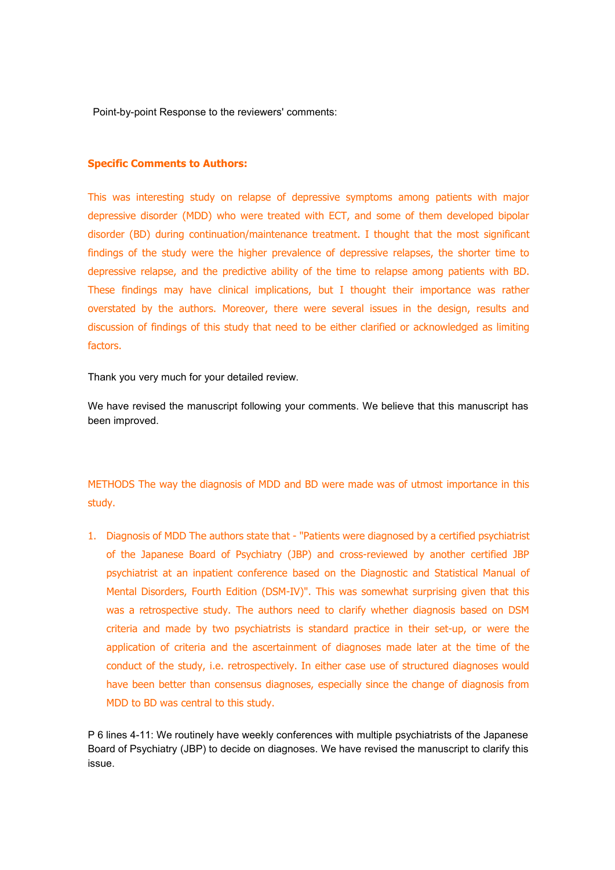Point-by-point Response to the reviewers' comments:

## **Specific Comments to Authors:**

This was interesting study on relapse of depressive symptoms among patients with major depressive disorder (MDD) who were treated with ECT, and some of them developed bipolar disorder (BD) during continuation/maintenance treatment. I thought that the most significant findings of the study were the higher prevalence of depressive relapses, the shorter time to depressive relapse, and the predictive ability of the time to relapse among patients with BD. These findings may have clinical implications, but I thought their importance was rather overstated by the authors. Moreover, there were several issues in the design, results and discussion of findings of this study that need to be either clarified or acknowledged as limiting factors.

Thank you very much for your detailed review.

We have revised the manuscript following your comments. We believe that this manuscript has been improved.

METHODS The way the diagnosis of MDD and BD were made was of utmost importance in this study.

1. Diagnosis of MDD The authors state that - "Patients were diagnosed by a certified psychiatrist of the Japanese Board of Psychiatry (JBP) and cross-reviewed by another certified JBP psychiatrist at an inpatient conference based on the Diagnostic and Statistical Manual of Mental Disorders, Fourth Edition (DSM-IV)". This was somewhat surprising given that this was a retrospective study. The authors need to clarify whether diagnosis based on DSM criteria and made by two psychiatrists is standard practice in their set-up, or were the application of criteria and the ascertainment of diagnoses made later at the time of the conduct of the study, i.e. retrospectively. In either case use of structured diagnoses would have been better than consensus diagnoses, especially since the change of diagnosis from MDD to BD was central to this study.

P 6 lines 4-11: We routinely have weekly conferences with multiple psychiatrists of the Japanese Board of Psychiatry (JBP) to decide on diagnoses. We have revised the manuscript to clarify this issue.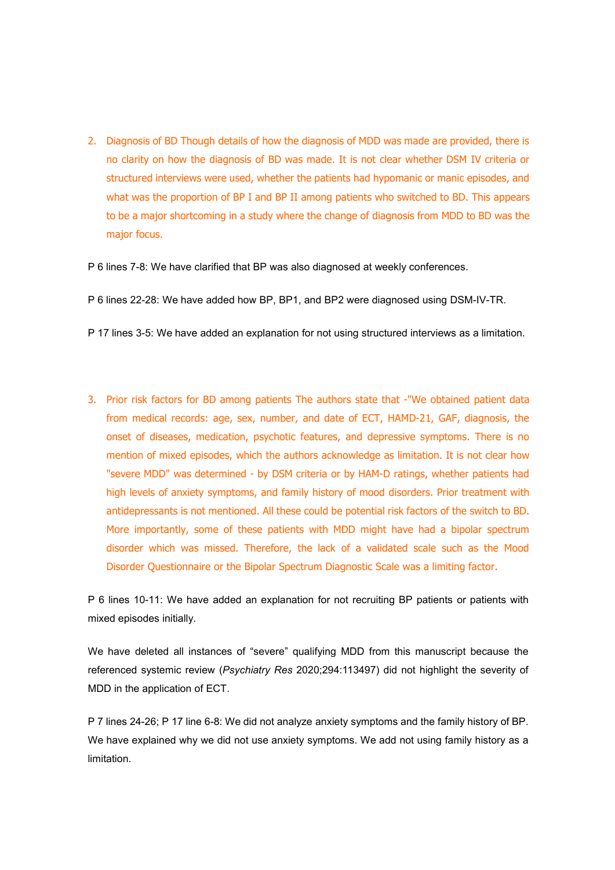- 2. Diagnosis of BD Though details of how the diagnosis of MDD was made are provided, there is no clarity on how the diagnosis of BD was made. It is not clear whether DSM IV criteria or structured interviews were used, whether the patients had hypomanic or manic episodes, and what was the proportion of BP I and BP II among patients who switched to BD. This appears to be a major shortcoming in a study where the change of diagnosis from MDD to BD was the major focus.
- P 6 lines 7-8: We have clarified that BP was also diagnosed at weekly conferences.
- P 6 lines 22-28: We have added how BP, BP1, and BP2 were diagnosed using DSM-IV-TR.
- P 17 lines 3-5: We have added an explanation for not using structured interviews as a limitation.
- 3. Prior risk factors for BD among patients The authors state that -"We obtained patient data from medical records: age, sex, number, and date of ECT, HAMD-21, GAF, diagnosis, the onset of diseases, medication, psychotic features, and depressive symptoms. There is no mention of mixed episodes, which the authors acknowledge as limitation. It is not clear how "severe MDD" was determined - by DSM criteria or by HAM-D ratings, whether patients had high levels of anxiety symptoms, and family history of mood disorders. Prior treatment with antidepressants is not mentioned. All these could be potential risk factors of the switch to BD. More importantly, some of these patients with MDD might have had a bipolar spectrum disorder which was missed. Therefore, the lack of a validated scale such as the Mood Disorder Questionnaire or the Bipolar Spectrum Diagnostic Scale was a limiting factor.

P 6 lines 10-11: We have added an explanation for not recruiting BP patients or patients with mixed episodes initially.

We have deleted all instances of "severe" qualifying MDD from this manuscript because the referenced systemic review (*Psychiatry Res* 2020;294:113497) did not highlight the severity of MDD in the application of ECT.

P 7 lines 24-26; P 17 line 6-8; We did not analyze anxiety symptoms and the family history of BP. We have explained why we did not use anxiety symptoms. We add not using family history as a limitation.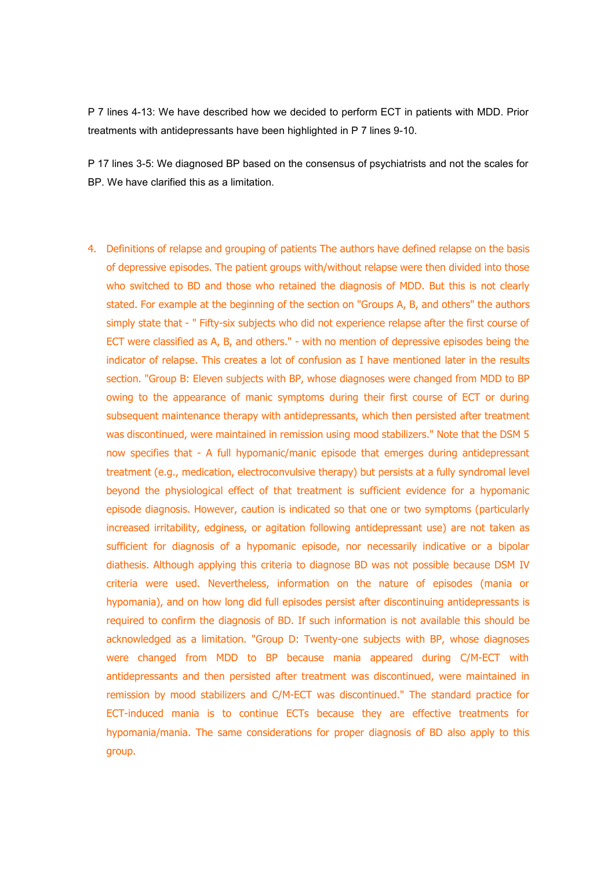P 7 lines 4-13: We have described how we decided to perform ECT in patients with MDD. Prior treatments with antidepressants have been highlighted in P 7 lines 9-10.

P 17 lines 3-5: We diagnosed BP based on the consensus of psychiatrists and not the scales for BP. We have clarified this as a limitation.

4. Definitions of relapse and grouping of patients The authors have defined relapse on the basis of depressive episodes. The patient groups with/without relapse were then divided into those who switched to BD and those who retained the diagnosis of MDD. But this is not clearly stated. For example at the beginning of the section on "Groups A, B, and others" the authors simply state that - " Fifty-six subjects who did not experience relapse after the first course of ECT were classified as A, B, and others." - with no mention of depressive episodes being the indicator of relapse. This creates a lot of confusion as I have mentioned later in the results section. "Group B: Eleven subjects with BP, whose diagnoses were changed from MDD to BP owing to the appearance of manic symptoms during their first course of ECT or during subsequent maintenance therapy with antidepressants, which then persisted after treatment was discontinued, were maintained in remission using mood stabilizers." Note that the DSM 5 now specifies that - A full hypomanic/manic episode that emerges during antidepressant treatment (e.g., medication, electroconvulsive therapy) but persists at a fully syndromal level beyond the physiological effect of that treatment is sufficient evidence for a hypomanic episode diagnosis. However, caution is indicated so that one or two symptoms (particularly increased irritability, edginess, or agitation following antidepressant use) are not taken as sufficient for diagnosis of a hypomanic episode, nor necessarily indicative or a bipolar diathesis. Although applying this criteria to diagnose BD was not possible because DSM IV criteria were used. Nevertheless, information on the nature of episodes (mania or hypomania), and on how long did full episodes persist after discontinuing antidepressants is required to confirm the diagnosis of BD. If such information is not available this should be acknowledged as a limitation. "Group D: Twenty-one subjects with BP, whose diagnoses were changed from MDD to BP because mania appeared during C/M-ECT with antidepressants and then persisted after treatment was discontinued, were maintained in remission by mood stabilizers and C/M-ECT was discontinued." The standard practice for ECT-induced mania is to continue ECTs because they are effective treatments for hypomania/mania. The same considerations for proper diagnosis of BD also apply to this group.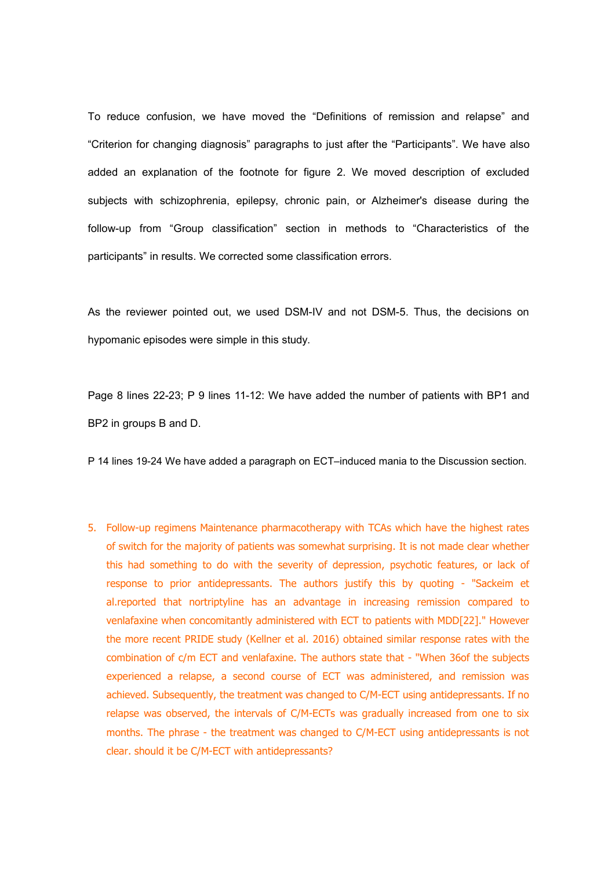To reduce confusion, we have moved the "Definitions of remission and relapse"and "Criterion for changing diagnosis" paragraphs to just after the "Participants". We have also added an explanation of the footnote for figure 2. We moved description of excluded subjects with schizophrenia, epilepsy, chronic pain, or Alzheimer's disease during the follow-up from "Group classification" section in methods to "Characteristics of the participants" in results. We corrected some classification errors.

As the reviewer pointed out, we used DSM-IV and not DSM-5. Thus, the decisions on hypomanic episodes were simple in this study.

Page 8 lines 22-23; P 9 lines 11-12: We have added the number of patients with BP1 and BP2 in groups B and D.

P 14 lines 19-24 We have added a paragraph on ECT–induced mania to the Discussion section.

5. Follow-up regimens Maintenance pharmacotherapy with TCAs which have the highestrates of switch for the majority of patients was somewhat surprising. It is not made clear whether this had something to do with the severity of depression, psychotic features, or lack of response to prior antidepressants. The authors justify this by quoting - "Sackeim et al.reported that nortriptyline has an advantage in increasing remission compared to venlafaxine when concomitantly administered with ECT to patients with MDD[22]." However the more recent PRIDE study (Kellner et al. 2016) obtained similar response rates with the combination of c/m ECT and venlafaxine. The authors state that - "When 36of the subjects experienced a relapse, a second course of ECT was administered, and remission was achieved. Subsequently, the treatment was changed to C/M-ECT using antidepressants. If no relapse was observed, the intervals of C/M-ECTs was gradually increased from one to six months. The phrase - the treatment was changed to C/M-ECT using antidepressants is not clear. should it be C/M-ECT with antidepressants?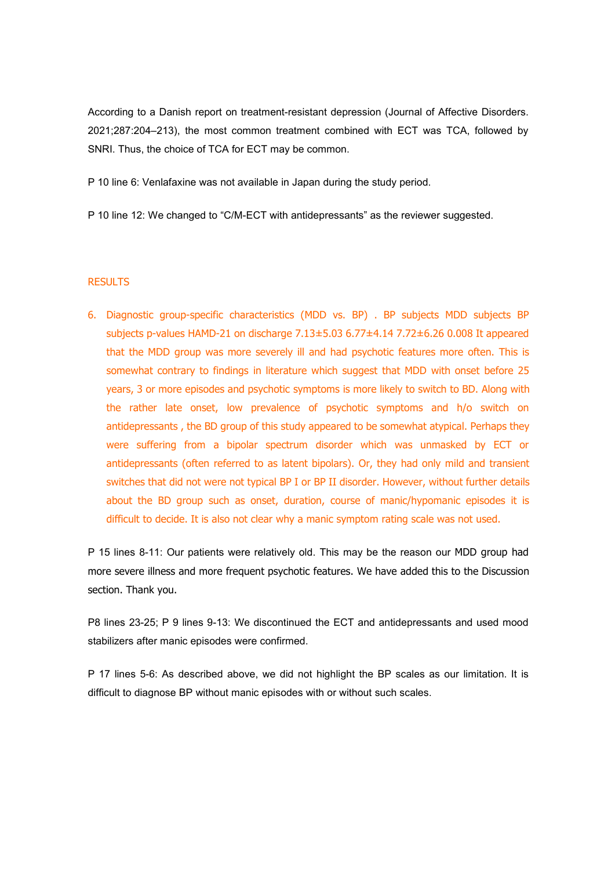According to a Danish report on treatment-resistant depression (Journal of Affective Disorders. 2021;287:204–213), the most common treatment combined with ECT was TCA, followed by SNRI. Thus, the choice of TCA for ECT may be common.

P 10 line 6: Venlafaxine was not available in Japan during the study period.

P 10 line 12: We changed to "C/M-ECT with antidepressants" as the reviewer suggested.

## **RESULTS**

6. Diagnostic group-specific characteristics (MDD vs. BP) . BP subjects MDD subjects BP subjects p-values HAMD-21 on discharge 7.13±5.03 6.77±4.14 7.72±6.26 0.008 It appeared that the MDD group was more severely ill and had psychotic features more often. This is somewhat contrary to findings in literature which suggest that MDD with onset before 25 years, 3 or more episodes and psychotic symptoms is more likely to switch to BD. Along with the rather late onset, low prevalence of psychotic symptoms and h/o switch on antidepressants , the BD group of this study appeared to be somewhat atypical. Perhaps they were suffering from a bipolar spectrum disorder which was unmasked by ECT or antidepressants (often referred to as latent bipolars). Or, they had only mild and transient switches that did not were not typical BP I or BP II disorder. However, without further details about the BD group such as onset, duration, course of manic/hypomanic episodes it is difficult to decide. It is also not clear why a manic symptom rating scale was not used.

P 15 lines 8-11: Our patients were relatively old. This may be the reason our MDD group had more severe illness and more frequent psychotic features. We have added this to the Discussion section. Thank you.

P8 lines 23-25; P 9 lines 9-13: We discontinued the ECT and antidepressants and used mood stabilizers after manic episodes were confirmed.

P 17 lines 5-6: As described above, we did not highlight the BP scales as our limitation. It is difficult to diagnose BP without manic episodes with or without such scales.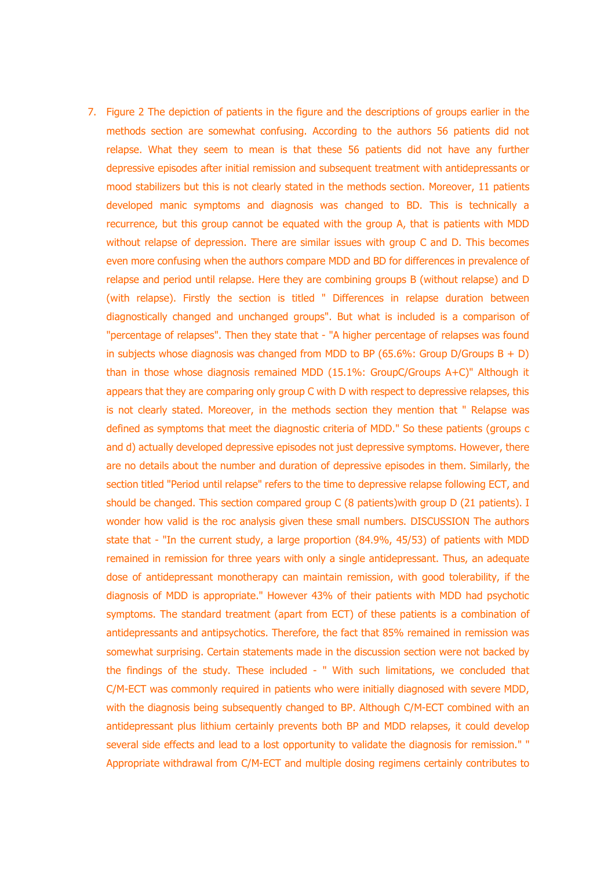7. Figure 2 The depiction of patients in the figure and the descriptions of groups earlier in the methods section are somewhat confusing. According to the authors 56 patients did not relapse. What they seem to mean is that these 56 patients did not have any further depressive episodes after initial remission and subsequent treatment with antidepressants or mood stabilizers but this is not clearly stated in the methods section. Moreover, 11 patients developed manic symptoms and diagnosis was changed to BD. This is technically a recurrence, but this group cannot be equated with the group A, that is patients with MDD without relapse of depression. There are similar issues with group C and D. This becomes even more confusing when the authors compare MDD and BD for differences in prevalence of relapse and period until relapse. Here they are combining groups B (without relapse) and D (with relapse). Firstly the section is titled " Differences in relapse duration between diagnostically changed and unchanged groups". But what is included is a comparison of "percentage of relapses". Then they state that - "A higher percentage of relapses was found in subjects whose diagnosis was changed from MDD to BP (65.6%: Group D/Groups  $B + D$ ) than in those whose diagnosis remained MDD (15.1%: GroupC/Groups A+C)" Although it appears that they are comparing only group C with D with respect to depressive relapses, this is not clearly stated. Moreover, in the methods section they mention that " Relapse was defined as symptoms that meet the diagnostic criteria of MDD." So these patients (groups c and d) actually developed depressive episodes not just depressive symptoms. However, there are no details about the number and duration of depressive episodes in them. Similarly, the section titled "Period until relapse" refers to the time to depressive relapse following ECT, and should be changed. This section compared group C (8 patients)with group D (21 patients). I wonder how valid is the roc analysis given these small numbers. DISCUSSION The authors state that - "In the current study, a large proportion (84.9%, 45/53) of patients with MDD remained in remission for three years with only a single antidepressant. Thus, an adequate dose of antidepressant monotherapy can maintain remission, with good tolerability, if the diagnosis of MDD is appropriate." However 43% of their patients with MDD had psychotic symptoms. The standard treatment (apart from ECT) of these patients is a combination of antidepressants and antipsychotics. Therefore, the fact that 85% remained in remission was somewhat surprising. Certain statements made in the discussion section were not backed by the findings of the study. These included - " With such limitations, we concluded that C/M-ECT was commonly required in patients who were initially diagnosed with severe MDD, with the diagnosis being subsequently changed to BP. Although C/M-ECT combined with an antidepressant plus lithium certainly prevents both BP and MDD relapses, it could develop several side effects and lead to a lost opportunity to validate the diagnosis for remission." " Appropriate withdrawal from C/M-ECT and multiple dosing regimens certainly contributes to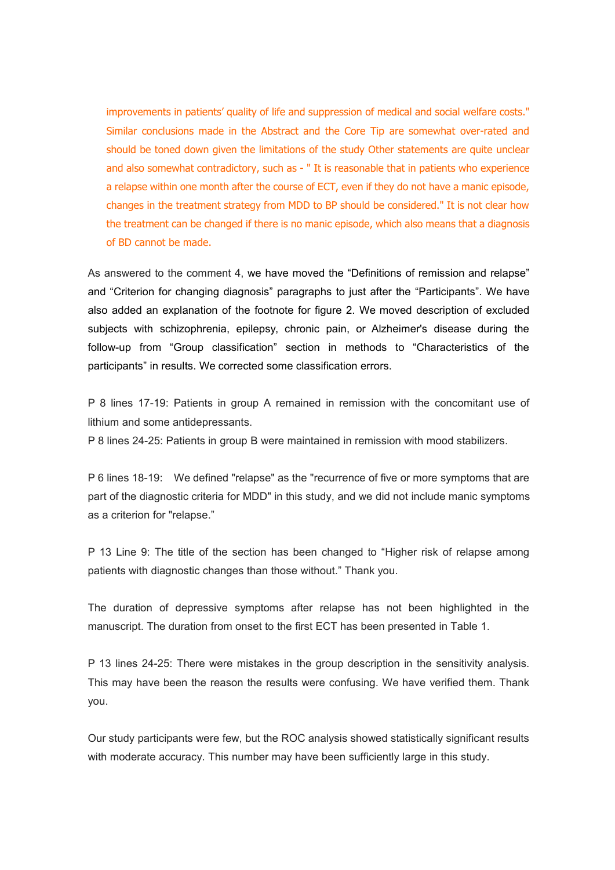improvements in patients' quality of life and suppression of medical and social welfare costs." Similar conclusions made in the Abstract and the Core Tip are somewhat over-rated and should be toned down given the limitations of the study Other statements are quite unclear and also somewhat contradictory, such as - " It is reasonable that in patients who experience a relapse within one month after the course of ECT, even if they do not have a manic episode, changes in the treatment strategy from MDD to BP should be considered." It is not clear how the treatment can be changed if there is no manic episode, which also means that a diagnosis of BD cannot be made.

As answered to the comment 4, we have moved the "Definitions of remission and relapse" and "Criterion for changing diagnosis" paragraphs to just after the "Participants". We have also added an explanation of the footnote for figure 2. We moved description of excluded subjects with schizophrenia, epilepsy, chronic pain, or Alzheimer's disease during the follow-up from "Group classification" section in methods to "Characteristics of the participants" in results. We corrected some classification errors.

P 8 lines 17-19: Patients in group A remained in remission with the concomitant use of lithium and some antidepressants.

P 8 lines 24-25: Patients in group B were maintained in remission with mood stabilizers.

P 6 lines 18-19: We defined "relapse" as the "recurrence of five or more symptoms that are part of the diagnostic criteria for MDD" in this study, and we did not include manic symptoms as a criterion for "relapse."

P 13 Line 9: The title of the section has been changed to "Higher risk of relapse among patients with diagnostic changes than those without." Thank you.

The duration of depressive symptoms after relapse has not been highlighted in the manuscript. The duration from onset to the first ECT has been presented in Table 1.

P 13 lines 24-25: There were mistakes in the group description in the sensitivity analysis. This may have been the reason the results were confusing. We have verified them. Thank you.

Our study participants were few, but the ROC analysis showed statistically significant results with moderate accuracy. This number may have been sufficiently large in this study.